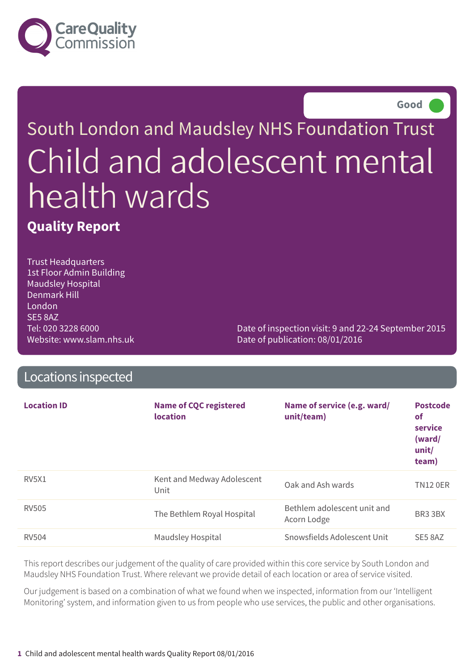



# South London and Maudsley NHS Foundation Trust Child and adolescent mental health wards

**Quality Report**

Trust Headquarters 1st Floor Admin Building Maudsley Hospital Denmark Hill London SE5 8AZ Tel: 020 3228 6000 Website: www.slam.nhs.uk

Date of inspection visit: 9 and 22-24 September 2015 Date of publication: 08/01/2016

### Locations inspected

| <b>Location ID</b>             | <b>Name of CQC registered</b><br><b>location</b> | Name of service (e.g. ward/<br>unit/team)  | <b>Postcode</b><br><b>of</b><br>service<br>(ward/<br>unit/<br>team) |
|--------------------------------|--------------------------------------------------|--------------------------------------------|---------------------------------------------------------------------|
| RV <sub>5</sub> X <sub>1</sub> | Kent and Medway Adolescent<br>Unit               | Oak and Ash wards                          | <b>TN12 0ER</b>                                                     |
| <b>RV505</b>                   | The Bethlem Royal Hospital                       | Bethlem adolescent unit and<br>Acorn Lodge | BR3 3BX                                                             |
| <b>RV504</b>                   | <b>Maudsley Hospital</b>                         | Snowsfields Adolescent Unit                | SE5 8AZ                                                             |

This report describes our judgement of the quality of care provided within this core service by South London and Maudsley NHS Foundation Trust. Where relevant we provide detail of each location or area of service visited.

Our judgement is based on a combination of what we found when we inspected, information from our 'Intelligent Monitoring' system, and information given to us from people who use services, the public and other organisations.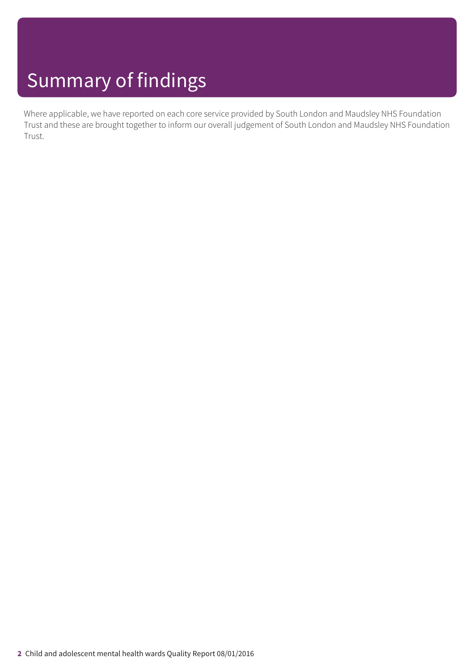Where applicable, we have reported on each core service provided by South London and Maudsley NHS Foundation Trust and these are brought together to inform our overall judgement of South London and Maudsley NHS Foundation Trust.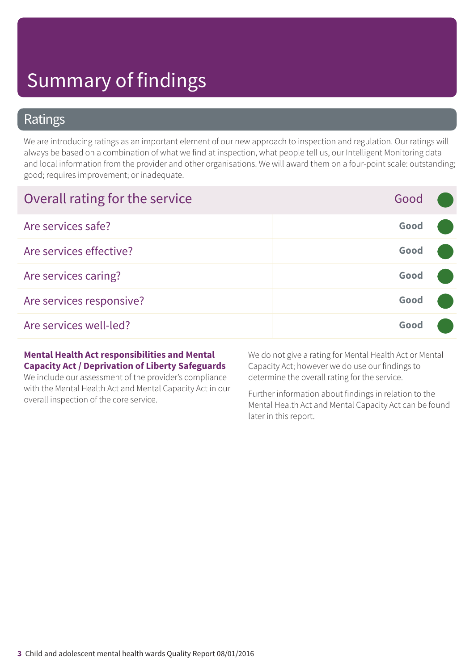### Ratings

We are introducing ratings as an important element of our new approach to inspection and regulation. Our ratings will always be based on a combination of what we find at inspection, what people tell us, our Intelligent Monitoring data and local information from the provider and other organisations. We will award them on a four-point scale: outstanding; good; requires improvement; or inadequate.

| Overall rating for the service | Good |  |
|--------------------------------|------|--|
| Are services safe?             | Good |  |
| Are services effective?        | Good |  |
| Are services caring?           | Good |  |
| Are services responsive?       | Good |  |
| Are services well-led?         | Good |  |

#### **Mental Health Act responsibilities and Mental Capacity Act / Deprivation of Liberty Safeguards**

We include our assessment of the provider's compliance with the Mental Health Act and Mental Capacity Act in our overall inspection of the core service.

We do not give a rating for Mental Health Act or Mental Capacity Act; however we do use our findings to determine the overall rating for the service.

Further information about findings in relation to the Mental Health Act and Mental Capacity Act can be found later in this report.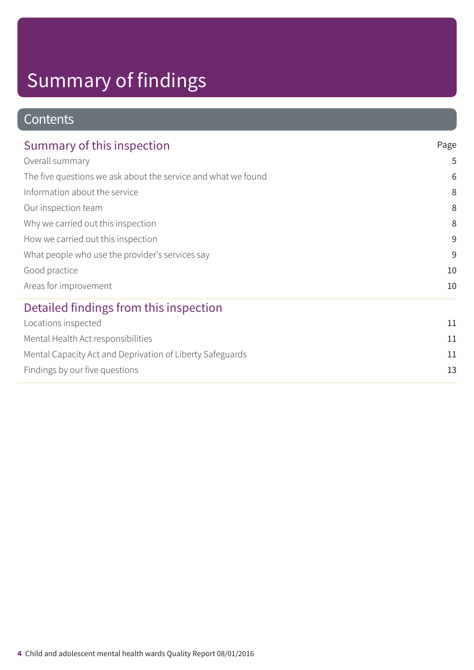### **Contents**

| Summary of this inspection                                    | Page |
|---------------------------------------------------------------|------|
| Overall summary                                               | 5    |
| The five questions we ask about the service and what we found | 6    |
| Information about the service                                 | 8    |
| Our inspection team                                           | 8    |
| Why we carried out this inspection                            | 8    |
| How we carried out this inspection                            | 9    |
| What people who use the provider's services say               | 9    |
| Good practice                                                 | 10   |
| Areas for improvement                                         | 10   |
| Detailed findings from this inspection                        |      |
| Locations inspected                                           | 11   |
| Mental Health Act responsibilities                            | 11   |
| Mental Capacity Act and Deprivation of Liberty Safeguards     | 11   |
| Findings by our five questions                                | 13   |
|                                                               |      |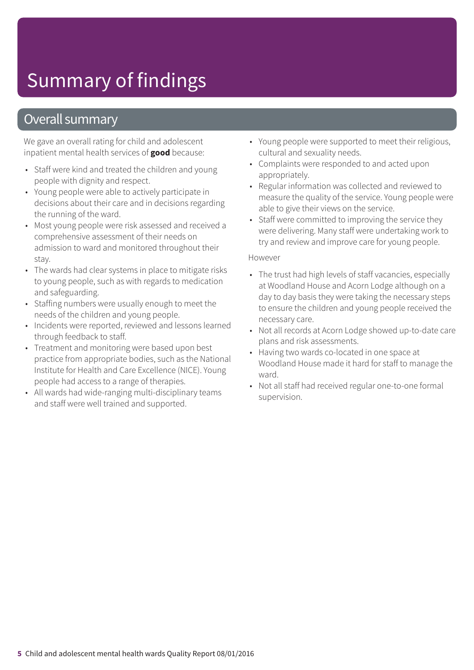### Overall summary

We gave an overall rating for child and adolescent inpatient mental health services of **good** because:

- Staff were kind and treated the children and young people with dignity and respect.
- Young people were able to actively participate in decisions about their care and in decisions regarding the running of the ward.
- Most young people were risk assessed and received a comprehensive assessment of their needs on admission to ward and monitored throughout their stay.
- The wards had clear systems in place to mitigate risks to young people, such as with regards to medication and safeguarding.
- Staffing numbers were usually enough to meet the needs of the children and young people.
- Incidents were reported, reviewed and lessons learned through feedback to staff.
- Treatment and monitoring were based upon best practice from appropriate bodies, such as the National Institute for Health and Care Excellence (NICE). Young people had access to a range of therapies.
- All wards had wide-ranging multi-disciplinary teams and staff were well trained and supported.
- Young people were supported to meet their religious, cultural and sexuality needs.
- Complaints were responded to and acted upon appropriately.
- Regular information was collected and reviewed to measure the quality of the service. Young people were able to give their views on the service.
- Staff were committed to improving the service they were delivering. Many staff were undertaking work to try and review and improve care for young people.

#### However

- The trust had high levels of staff vacancies, especially at Woodland House and Acorn Lodge although on a day to day basis they were taking the necessary steps to ensure the children and young people received the necessary care.
- Not all records at Acorn Lodge showed up-to-date care plans and risk assessments.
- Having two wards co-located in one space at Woodland House made it hard for staff to manage the ward.
- Not all staff had received regular one-to-one formal supervision.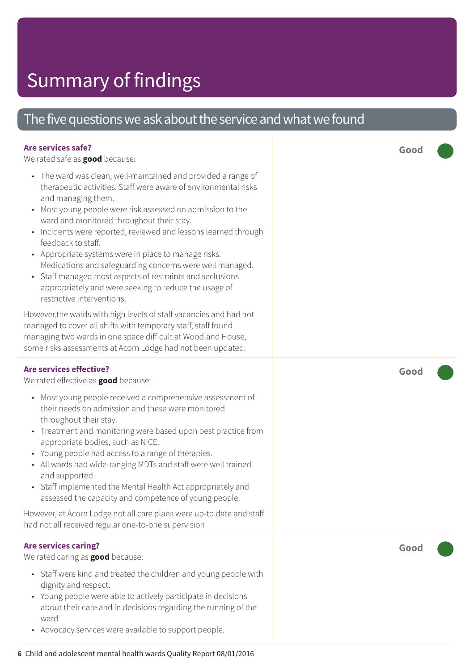### The five questions we ask about the service and what we found

| Are services safe?<br>We rated safe as <b>good</b> because:                                                                                                                                                                                                                                                                                                                                                                                                                                                                                                                                                                    | Good |
|--------------------------------------------------------------------------------------------------------------------------------------------------------------------------------------------------------------------------------------------------------------------------------------------------------------------------------------------------------------------------------------------------------------------------------------------------------------------------------------------------------------------------------------------------------------------------------------------------------------------------------|------|
| • The ward was clean, well-maintained and provided a range of<br>therapeutic activities. Staff were aware of environmental risks<br>and managing them.<br>Most young people were risk assessed on admission to the<br>ward and monitored throughout their stay.<br>Incidents were reported, reviewed and lessons learned through<br>feedback to staff.<br>• Appropriate systems were in place to manage risks.<br>Medications and safeguarding concerns were well managed.<br>• Staff managed most aspects of restraints and seclusions<br>appropriately and were seeking to reduce the usage of<br>restrictive interventions. |      |
| However, the wards with high levels of staff vacancies and had not<br>managed to cover all shifts with temporary staff, staff found<br>managing two wards in one space difficult at Woodland House,<br>some risks assessments at Acorn Lodge had not been updated.                                                                                                                                                                                                                                                                                                                                                             |      |
| <b>Are services effective?</b><br>We rated effective as good because:                                                                                                                                                                                                                                                                                                                                                                                                                                                                                                                                                          | Good |
| Most young people received a comprehensive assessment of<br>$\bullet$<br>their needs on admission and these were monitored<br>throughout their stay.<br>• Treatment and monitoring were based upon best practice from<br>appropriate bodies, such as NICE.<br>• Young people had access to a range of therapies.<br>• All wards had wide-ranging MDTs and staff were well trained<br>and supported.<br>• Staff implemented the Mental Health Act appropriately and<br>assessed the capacity and competence of young people.                                                                                                    |      |
| However, at Acorn Lodge not all care plans were up-to date and staff<br>had not all received regular one-to-one supervision                                                                                                                                                                                                                                                                                                                                                                                                                                                                                                    |      |
| <b>Are services caring?</b><br>We rated caring as <b>good</b> because:<br>• Staff were kind and treated the children and young people with<br>dignity and respect.<br>• Young people were able to actively participate in decisions<br>about their care and in decisions regarding the running of the<br>ward<br>• Advocacy services were available to support people.                                                                                                                                                                                                                                                         | Good |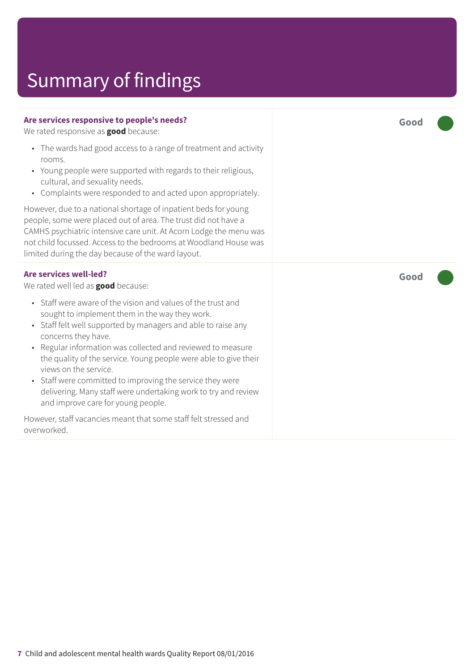#### **Are services responsive to people's needs?**

We rated responsive as **good** because:

- The wards had good access to a range of treatment and activity rooms.
- Young people were supported with regards to their religious, cultural, and sexuality needs.
- Complaints were responded to and acted upon appropriately.

However, due to a national shortage of inpatient beds for young people, some were placed out of area. The trust did not have a CAMHS psychiatric intensive care unit. At Acorn Lodge the menu was not child focussed. Access to the bedrooms at Woodland House was limited during the day because of the ward layout.

#### **Are services well-led?**

We rated well led as **good** because:

- Staff were aware of the vision and values of the trust and sought to implement them in the way they work.
- Staff felt well supported by managers and able to raise any concerns they have.
- Regular information was collected and reviewed to measure the quality of the service. Young people were able to give their views on the service.
- Staff were committed to improving the service they were delivering. Many staff were undertaking work to try and review and improve care for young people.

However, staff vacancies meant that some staff felt stressed and overworked.

**Good –––**

**Good –––**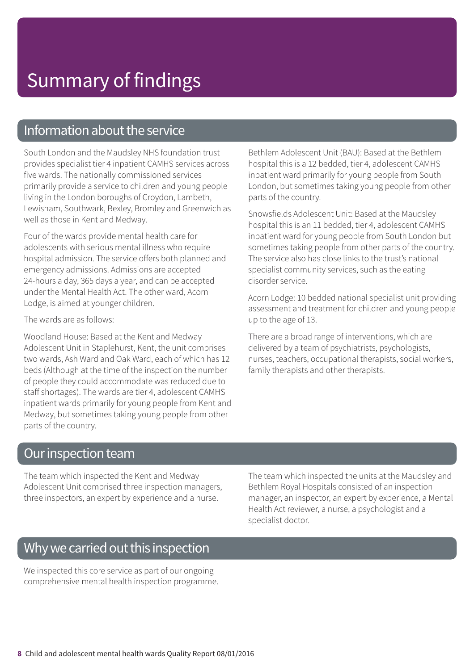### Information about the service

South London and the Maudsley NHS foundation trust provides specialist tier 4 inpatient CAMHS services across five wards. The nationally commissioned services primarily provide a service to children and young people living in the London boroughs of Croydon, Lambeth, Lewisham, Southwark, Bexley, Bromley and Greenwich as well as those in Kent and Medway.

Four of the wards provide mental health care for adolescents with serious mental illness who require hospital admission. The service offers both planned and emergency admissions. Admissions are accepted 24-hours a day, 365 days a year, and can be accepted under the Mental Health Act. The other ward, Acorn Lodge, is aimed at younger children.

The wards are as follows:

Woodland House: Based at the Kent and Medway Adolescent Unit in Staplehurst, Kent, the unit comprises two wards, Ash Ward and Oak Ward, each of which has 12 beds (Although at the time of the inspection the number of people they could accommodate was reduced due to staff shortages). The wards are tier 4, adolescent CAMHS inpatient wards primarily for young people from Kent and Medway, but sometimes taking young people from other parts of the country.

Bethlem Adolescent Unit (BAU): Based at the Bethlem hospital this is a 12 bedded, tier 4, adolescent CAMHS inpatient ward primarily for young people from South London, but sometimes taking young people from other parts of the country.

Snowsfields Adolescent Unit: Based at the Maudsley hospital this is an 11 bedded, tier 4, adolescent CAMHS inpatient ward for young people from South London but sometimes taking people from other parts of the country. The service also has close links to the trust's national specialist community services, such as the eating disorder service.

Acorn Lodge: 10 bedded national specialist unit providing assessment and treatment for children and young people up to the age of 13.

There are a broad range of interventions, which are delivered by a team of psychiatrists, psychologists, nurses, teachers, occupational therapists, social workers, family therapists and other therapists.

### Our inspection team

The team which inspected the Kent and Medway Adolescent Unit comprised three inspection managers, three inspectors, an expert by experience and a nurse.

The team which inspected the units at the Maudsley and Bethlem Royal Hospitals consisted of an inspection manager, an inspector, an expert by experience, a Mental Health Act reviewer, a nurse, a psychologist and a specialist doctor.

### Why we carried out this inspection

We inspected this core service as part of our ongoing comprehensive mental health inspection programme.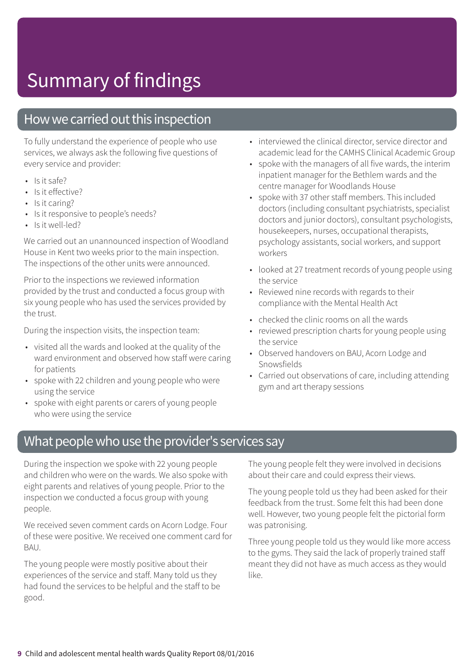### How we carried out this inspection

To fully understand the experience of people who use services, we always ask the following five questions of every service and provider:

- $\cdot$  Is it safe?
- Is it effective?
- Is it caring?
- Is it responsive to people's needs?
- Is it well-led?

We carried out an unannounced inspection of Woodland House in Kent two weeks prior to the main inspection. The inspections of the other units were announced.

Prior to the inspections we reviewed information provided by the trust and conducted a focus group with six young people who has used the services provided by the trust.

During the inspection visits, the inspection team:

- visited all the wards and looked at the quality of the ward environment and observed how staff were caring for patients
- spoke with 22 children and young people who were using the service
- spoke with eight parents or carers of young people who were using the service
- interviewed the clinical director, service director and academic lead for the CAMHS Clinical Academic Group
- spoke with the managers of all five wards, the interim inpatient manager for the Bethlem wards and the centre manager for Woodlands House
- spoke with 37 other staff members. This included doctors (including consultant psychiatrists, specialist doctors and junior doctors), consultant psychologists, housekeepers, nurses, occupational therapists, psychology assistants, social workers, and support workers
- looked at 27 treatment records of young people using the service
- Reviewed nine records with regards to their compliance with the Mental Health Act
- checked the clinic rooms on all the wards
- reviewed prescription charts for young people using the service
- Observed handovers on BAU, Acorn Lodge and Snowsfields
- Carried out observations of care, including attending gym and art therapy sessions

### What people who use the provider's services say

During the inspection we spoke with 22 young people and children who were on the wards. We also spoke with eight parents and relatives of young people. Prior to the inspection we conducted a focus group with young people.

We received seven comment cards on Acorn Lodge. Four of these were positive. We received one comment card for BAU.

The young people were mostly positive about their experiences of the service and staff. Many told us they had found the services to be helpful and the staff to be good.

The young people felt they were involved in decisions about their care and could express their views.

The young people told us they had been asked for their feedback from the trust. Some felt this had been done well. However, two young people felt the pictorial form was patronising.

Three young people told us they would like more access to the gyms. They said the lack of properly trained staff meant they did not have as much access as they would like.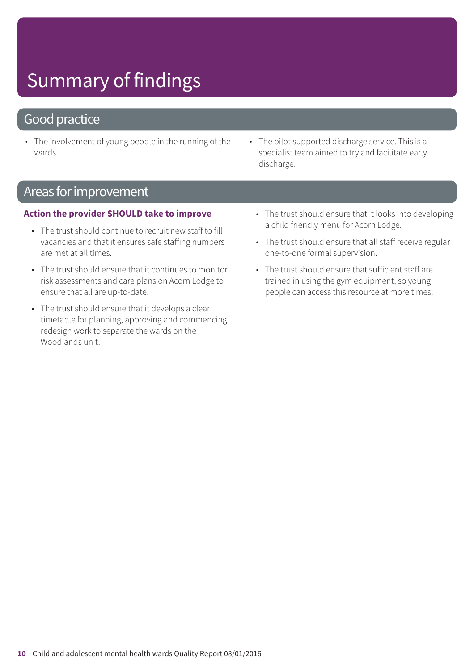### Good practice

- The involvement of young people in the running of the wards
- The pilot supported discharge service. This is a specialist team aimed to try and facilitate early discharge.

### Areas forimprovement

#### **Action the provider SHOULD take to improve**

- The trust should continue to recruit new staff to fill vacancies and that it ensures safe staffing numbers are met at all times.
- The trust should ensure that it continues to monitor risk assessments and care plans on Acorn Lodge to ensure that all are up-to-date.
- The trust should ensure that it develops a clear timetable for planning, approving and commencing redesign work to separate the wards on the Woodlands unit.
- The trust should ensure that it looks into developing a child friendly menu for Acorn Lodge.
- The trust should ensure that all staff receive regular one-to-one formal supervision.
- The trust should ensure that sufficient staff are trained in using the gym equipment, so young people can access this resource at more times.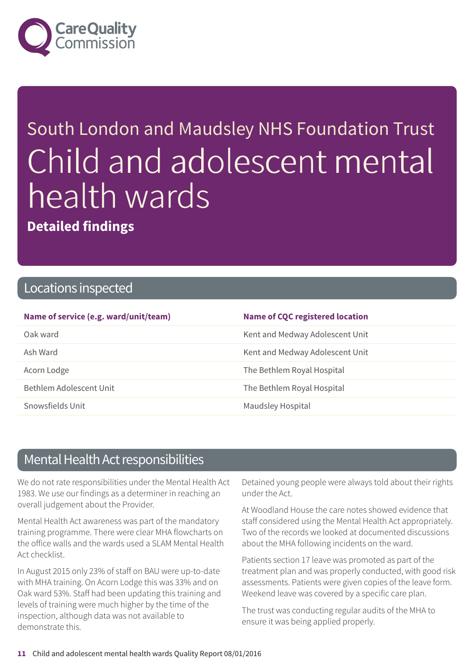

# South London and Maudsley NHS Foundation Trust Child and adolescent mental health wards

**Detailed findings**

### Locations inspected

| Name of service (e.g. ward/unit/team) | <b>Name of CQC registered location</b> |
|---------------------------------------|----------------------------------------|
| Oak ward                              | Kent and Medway Adolescent Unit        |
| Ash Ward                              | Kent and Medway Adolescent Unit        |
| Acorn Lodge                           | The Bethlem Royal Hospital             |
| Bethlem Adolescent Unit               | The Bethlem Royal Hospital             |
| Snowsfields Unit                      | Maudsley Hospital                      |

### Mental Health Act responsibilities

We do not rate responsibilities under the Mental Health Act 1983. We use our findings as a determiner in reaching an overall judgement about the Provider.

Mental Health Act awareness was part of the mandatory training programme. There were clear MHA flowcharts on the office walls and the wards used a SLAM Mental Health Act checklist.

In August 2015 only 23% of staff on BAU were up-to-date with MHA training. On Acorn Lodge this was 33% and on Oak ward 53%. Staff had been updating this training and levels of training were much higher by the time of the inspection, although data was not available to demonstrate this.

Detained young people were always told about their rights under the Act.

At Woodland House the care notes showed evidence that staff considered using the Mental Health Act appropriately. Two of the records we looked at documented discussions about the MHA following incidents on the ward.

Patients section 17 leave was promoted as part of the treatment plan and was properly conducted, with good risk assessments. Patients were given copies of the leave form. Weekend leave was covered by a specific care plan.

The trust was conducting regular audits of the MHA to ensure it was being applied properly.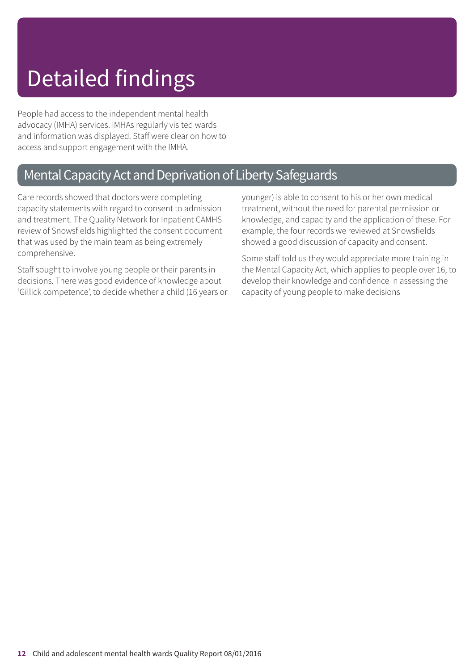# Detailed findings

People had access to the independent mental health advocacy (IMHA) services. IMHAs regularly visited wards and information was displayed. Staff were clear on how to access and support engagement with the IMHA.

### Mental Capacity Act and Deprivation of Liberty Safeguards

Care records showed that doctors were completing capacity statements with regard to consent to admission and treatment. The Quality Network for Inpatient CAMHS review of Snowsfields highlighted the consent document that was used by the main team as being extremely comprehensive.

Staff sought to involve young people or their parents in decisions. There was good evidence of knowledge about 'Gillick competence', to decide whether a child (16 years or younger) is able to consent to his or her own medical treatment, without the need for parental permission or knowledge, and capacity and the application of these. For example, the four records we reviewed at Snowsfields showed a good discussion of capacity and consent.

Some staff told us they would appreciate more training in the Mental Capacity Act, which applies to people over 16, to develop their knowledge and confidence in assessing the capacity of young people to make decisions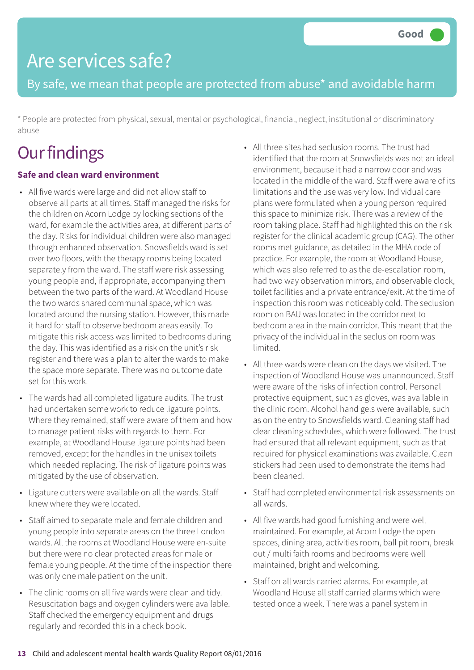By safe, we mean that people are protected from abuse\* and avoidable harm

\* People are protected from physical, sexual, mental or psychological, financial, neglect, institutional or discriminatory abuse

# **Our findings**

### **Safe and clean ward environment**

- All five wards were large and did not allow staff to observe all parts at all times. Staff managed the risks for the children on Acorn Lodge by locking sections of the ward, for example the activities area, at different parts of the day. Risks for individual children were also managed through enhanced observation. Snowsfields ward is set over two floors, with the therapy rooms being located separately from the ward. The staff were risk assessing young people and, if appropriate, accompanying them between the two parts of the ward. At Woodland House the two wards shared communal space, which was located around the nursing station. However, this made it hard for staff to observe bedroom areas easily. To mitigate this risk access was limited to bedrooms during the day. This was identified as a risk on the unit's risk register and there was a plan to alter the wards to make the space more separate. There was no outcome date set for this work.
- The wards had all completed ligature audits. The trust had undertaken some work to reduce ligature points. Where they remained, staff were aware of them and how to manage patient risks with regards to them. For example, at Woodland House ligature points had been removed, except for the handles in the unisex toilets which needed replacing. The risk of ligature points was mitigated by the use of observation.
- Ligature cutters were available on all the wards. Staff knew where they were located.
- Staff aimed to separate male and female children and young people into separate areas on the three London wards. All the rooms at Woodland House were en-suite but there were no clear protected areas for male or female young people. At the time of the inspection there was only one male patient on the unit.
- The clinic rooms on all five wards were clean and tidy. Resuscitation bags and oxygen cylinders were available. Staff checked the emergency equipment and drugs regularly and recorded this in a check book.
- All three sites had seclusion rooms. The trust had identified that the room at Snowsfields was not an ideal environment, because it had a narrow door and was located in the middle of the ward. Staff were aware of its limitations and the use was very low. Individual care plans were formulated when a young person required this space to minimize risk. There was a review of the room taking place. Staff had highlighted this on the risk register for the clinical academic group (CAG). The other rooms met guidance, as detailed in the MHA code of practice. For example, the room at Woodland House, which was also referred to as the de-escalation room, had two way observation mirrors, and observable clock, toilet facilities and a private entrance/exit. At the time of inspection this room was noticeably cold. The seclusion room on BAU was located in the corridor next to bedroom area in the main corridor. This meant that the privacy of the individual in the seclusion room was limited.
- All three wards were clean on the days we visited. The inspection of Woodland House was unannounced. Staff were aware of the risks of infection control. Personal protective equipment, such as gloves, was available in the clinic room. Alcohol hand gels were available, such as on the entry to Snowsfields ward. Cleaning staff had clear cleaning schedules, which were followed. The trust had ensured that all relevant equipment, such as that required for physical examinations was available. Clean stickers had been used to demonstrate the items had been cleaned.
- Staff had completed environmental risk assessments on all wards.
- All five wards had good furnishing and were well maintained. For example, at Acorn Lodge the open spaces, dining area, activities room, ball pit room, break out / multi faith rooms and bedrooms were well maintained, bright and welcoming.
- Staff on all wards carried alarms. For example, at Woodland House all staff carried alarms which were tested once a week. There was a panel system in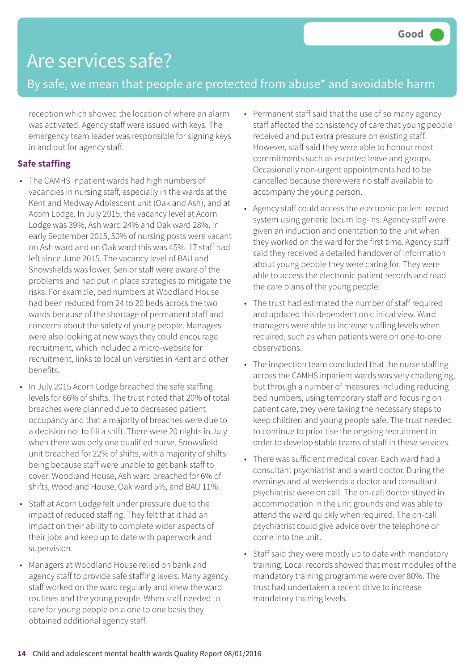### By safe, we mean that people are protected from abuse\* and avoidable harm

reception which showed the location of where an alarm was activated. Agency staff were issued with keys. The emergency team leader was responsible for signing keys in and out for agency staff.

### **Safe staffing**

- The CAMHS inpatient wards had high numbers of vacancies in nursing staff, especially in the wards at the Kent and Medway Adolescent unit (Oak and Ash), and at Acorn Lodge. In July 2015, the vacancy level at Acorn Lodge was 39%, Ash ward 24% and Oak ward 28%. In early September 2015, 50% of nursing posts were vacant on Ash ward and on Oak ward this was 45%. 17 staff had left since June 2015. The vacancy level of BAU and Snowsfields was lower. Senior staff were aware of the problems and had put in place strategies to mitigate the risks. For example, bed numbers at Woodland House had been reduced from 24 to 20 beds across the two wards because of the shortage of permanent staff and concerns about the safety of young people. Managers were also looking at new ways they could encourage recruitment, which included a micro-website for recruitment, links to local universities in Kent and other benefits.
- In July 2015 Acorn Lodge breached the safe staffing levels for 66% of shifts. The trust noted that 20% of total breaches were planned due to decreased patient occupancy and that a majority of breaches were due to a decision not to fill a shift. There were 20 nights in July when there was only one qualified nurse. Snowsfield unit breached for 22% of shifts, with a majority of shifts being because staff were unable to get bank staff to cover. Woodland House, Ash ward breached for 6% of shifts, Woodland House, Oak ward 5%, and BAU 11%.
- Staff at Acorn Lodge felt under pressure due to the impact of reduced staffing. They felt that it had an impact on their ability to complete wider aspects of their jobs and keep up to date with paperwork and supervision.
- Managers at Woodland House relied on bank and agency staff to provide safe staffing levels. Many agency staff worked on the ward regularly and knew the ward routines and the young people. When staff needed to care for young people on a one to one basis they obtained additional agency staff.
- Permanent staff said that the use of so many agency staff affected the consistency of care that young people received and put extra pressure on existing staff. However, staff said they were able to honour most commitments such as escorted leave and groups. Occasionally non-urgent appointments had to be cancelled because there were no staff available to accompany the young person.
- Agency staff could access the electronic patient record system using generic locum log-ins. Agency staff were given an induction and orientation to the unit when they worked on the ward for the first time. Agency staff said they received a detailed handover of information about young people they were caring for. They were able to access the electronic patient records and read the care plans of the young people.
- The trust had estimated the number of staff required and updated this dependent on clinical view. Ward managers were able to increase staffing levels when required, such as when patients were on one-to-one observations.
- The inspection team concluded that the nurse staffing across the CAMHS inpatient wards was very challenging, but through a number of measures including reducing bed numbers, using temporary staff and focusing on patient care, they were taking the necessary steps to keep children and young people safe. The trust needed to continue to prioritise the ongoing recruitment in order to develop stable teams of staff in these services.
- There was sufficient medical cover. Each ward had a consultant psychiatrist and a ward doctor. During the evenings and at weekends a doctor and consultant psychiatrist were on call. The on-call doctor stayed in accommodation in the unit grounds and was able to attend the ward quickly when required. The on-call psychiatrist could give advice over the telephone or come into the unit.
- Staff said they were mostly up to date with mandatory training. Local records showed that most modules of the mandatory training programme were over 80%. The trust had undertaken a recent drive to increase mandatory training levels.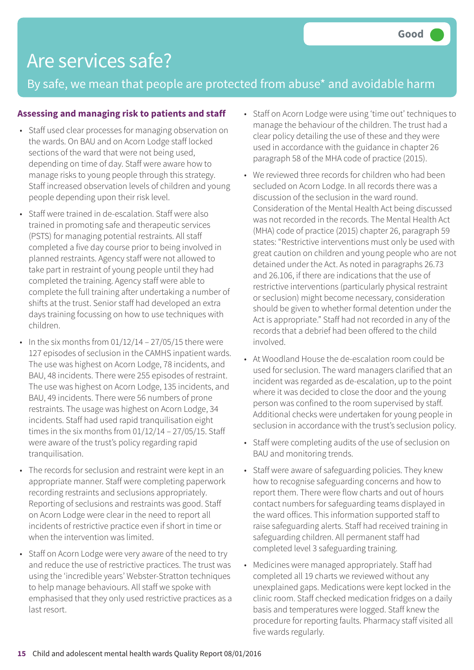By safe, we mean that people are protected from abuse\* and avoidable harm

#### **Assessing and managing risk to patients and staff**

- Staff used clear processes for managing observation on the wards. On BAU and on Acorn Lodge staff locked sections of the ward that were not being used, depending on time of day. Staff were aware how to manage risks to young people through this strategy. Staff increased observation levels of children and young people depending upon their risk level.
- Staff were trained in de-escalation. Staff were also trained in promoting safe and therapeutic services (PSTS) for managing potential restraints. All staff completed a five day course prior to being involved in planned restraints. Agency staff were not allowed to take part in restraint of young people until they had completed the training. Agency staff were able to complete the full training after undertaking a number of shifts at the trust. Senior staff had developed an extra days training focussing on how to use techniques with children.
- In the six months from  $01/12/14 27/05/15$  there were 127 episodes of seclusion in the CAMHS inpatient wards. The use was highest on Acorn Lodge, 78 incidents, and BAU, 48 incidents. There were 255 episodes of restraint. The use was highest on Acorn Lodge, 135 incidents, and BAU, 49 incidents. There were 56 numbers of prone restraints. The usage was highest on Acorn Lodge, 34 incidents. Staff had used rapid tranquilisation eight times in the six months from 01/12/14 – 27/05/15. Staff were aware of the trust's policy regarding rapid tranquilisation.
- The records for seclusion and restraint were kept in an appropriate manner. Staff were completing paperwork recording restraints and seclusions appropriately. Reporting of seclusions and restraints was good. Staff on Acorn Lodge were clear in the need to report all incidents of restrictive practice even if short in time or when the intervention was limited
- Staff on Acorn Lodge were very aware of the need to try and reduce the use of restrictive practices. The trust was using the 'incredible years' Webster-Stratton techniques to help manage behaviours. All staff we spoke with emphasised that they only used restrictive practices as a last resort.
- Staff on Acorn Lodge were using 'time out' techniques to manage the behaviour of the children. The trust had a clear policy detailing the use of these and they were used in accordance with the guidance in chapter 26 paragraph 58 of the MHA code of practice (2015).
- We reviewed three records for children who had been secluded on Acorn Lodge. In all records there was a discussion of the seclusion in the ward round. Consideration of the Mental Health Act being discussed was not recorded in the records. The Mental Health Act (MHA) code of practice (2015) chapter 26, paragraph 59 states: "Restrictive interventions must only be used with great caution on children and young people who are not detained under the Act. As noted in paragraphs 26.73 and 26.106, if there are indications that the use of restrictive interventions (particularly physical restraint or seclusion) might become necessary, consideration should be given to whether formal detention under the Act is appropriate." Staff had not recorded in any of the records that a debrief had been offered to the child involved.
- At Woodland House the de-escalation room could be used for seclusion. The ward managers clarified that an incident was regarded as de-escalation, up to the point where it was decided to close the door and the young person was confined to the room supervised by staff. Additional checks were undertaken for young people in seclusion in accordance with the trust's seclusion policy.
- Staff were completing audits of the use of seclusion on BAU and monitoring trends.
- Staff were aware of safeguarding policies. They knew how to recognise safeguarding concerns and how to report them. There were flow charts and out of hours contact numbers for safeguarding teams displayed in the ward offices. This information supported staff to raise safeguarding alerts. Staff had received training in safeguarding children. All permanent staff had completed level 3 safeguarding training.
- Medicines were managed appropriately. Staff had completed all 19 charts we reviewed without any unexplained gaps. Medications were kept locked in the clinic room. Staff checked medication fridges on a daily basis and temperatures were logged. Staff knew the procedure for reporting faults. Pharmacy staff visited all five wards regularly.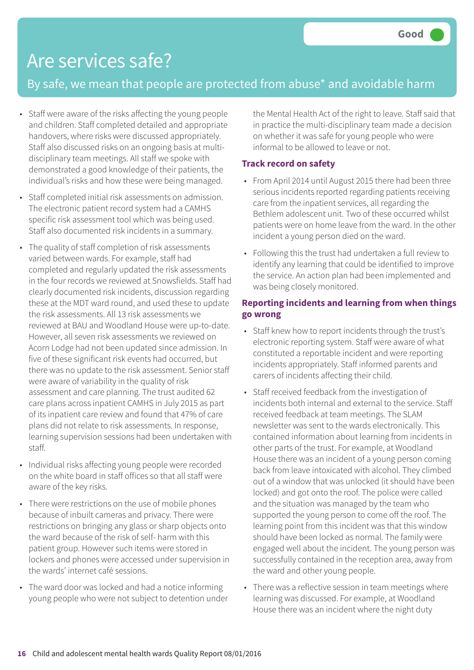### By safe, we mean that people are protected from abuse\* and avoidable harm

- Staff were aware of the risks affecting the young people and children. Staff completed detailed and appropriate handovers, where risks were discussed appropriately. Staff also discussed risks on an ongoing basis at multidisciplinary team meetings. All staff we spoke with demonstrated a good knowledge of their patients, the individual's risks and how these were being managed.
- Staff completed initial risk assessments on admission. The electronic patient record system had a CAMHS specific risk assessment tool which was being used. Staff also documented risk incidents in a summary.
- The quality of staff completion of risk assessments varied between wards. For example, staff had completed and regularly updated the risk assessments in the four records we reviewed at Snowsfields. Staff had clearly documented risk incidents, discussion regarding these at the MDT ward round, and used these to update the risk assessments. All 13 risk assessments we reviewed at BAU and Woodland House were up-to-date. However, all seven risk assessments we reviewed on Acorn Lodge had not been updated since admission. In five of these significant risk events had occurred, but there was no update to the risk assessment. Senior staff were aware of variability in the quality of risk assessment and care planning. The trust audited 62 care plans across inpatient CAMHS in July 2015 as part of its inpatient care review and found that 47% of care plans did not relate to risk assessments. In response, learning supervision sessions had been undertaken with staff.
- Individual risks affecting young people were recorded on the white board in staff offices so that all staff were aware of the key risks.
- There were restrictions on the use of mobile phones because of inbuilt cameras and privacy. There were restrictions on bringing any glass or sharp objects onto the ward because of the risk of self- harm with this patient group. However such items were stored in lockers and phones were accessed under supervision in the wards' internet café sessions.
- The ward door was locked and had a notice informing young people who were not subject to detention under

the Mental Health Act of the right to leave. Staff said that in practice the multi-disciplinary team made a decision on whether it was safe for young people who were informal to be allowed to leave or not.

#### **Track record on safety**

- From April 2014 until August 2015 there had been three serious incidents reported regarding patients receiving care from the inpatient services, all regarding the Bethlem adolescent unit. Two of these occurred whilst patients were on home leave from the ward. In the other incident a young person died on the ward.
- Following this the trust had undertaken a full review to identify any learning that could be identified to improve the service. An action plan had been implemented and was being closely monitored.

### **Reporting incidents and learning from when things go wrong**

- Staff knew how to report incidents through the trust's electronic reporting system. Staff were aware of what constituted a reportable incident and were reporting incidents appropriately. Staff informed parents and carers of incidents affecting their child.
- Staff received feedback from the investigation of incidents both internal and external to the service. Staff received feedback at team meetings. The SLAM newsletter was sent to the wards electronically. This contained information about learning from incidents in other parts of the trust. For example, at Woodland House there was an incident of a young person coming back from leave intoxicated with alcohol. They climbed out of a window that was unlocked (it should have been locked) and got onto the roof. The police were called and the situation was managed by the team who supported the young person to come off the roof. The learning point from this incident was that this window should have been locked as normal. The family were engaged well about the incident. The young person was successfully contained in the reception area, away from the ward and other young people.
- There was a reflective session in team meetings where learning was discussed. For example, at Woodland House there was an incident where the night duty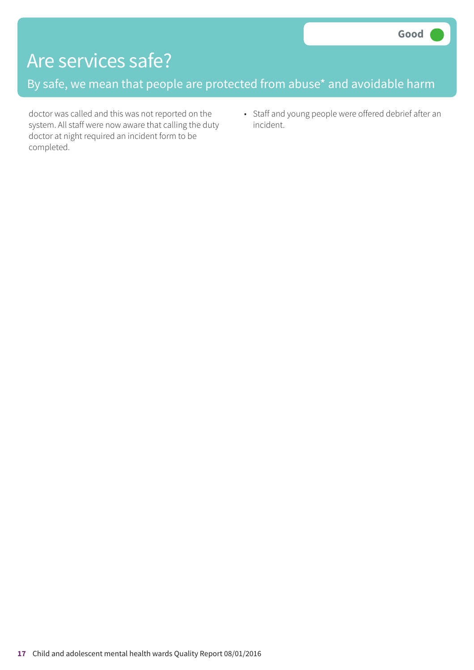By safe, we mean that people are protected from abuse\* and avoidable harm

doctor was called and this was not reported on the system. All staff were now aware that calling the duty doctor at night required an incident form to be completed.

• Staff and young people were offered debrief after an incident.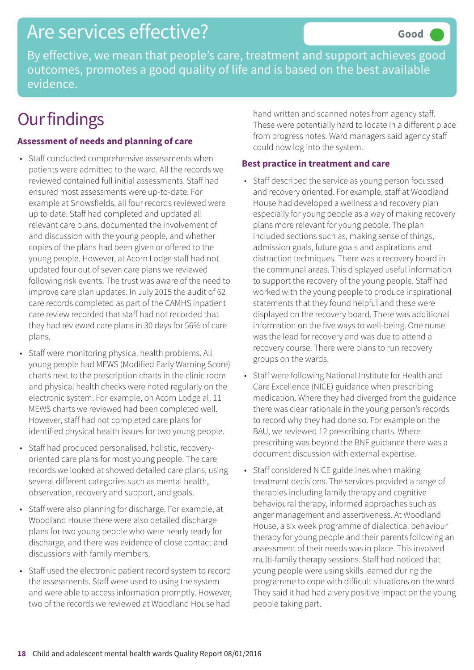# Are services effective?

By effective, we mean that people's care, treatment and support achieves good outcomes, promotes a good quality of life and is based on the best available evidence.

# **Our findings**

### **Assessment of needs and planning of care**

- Staff conducted comprehensive assessments when patients were admitted to the ward. All the records we reviewed contained full initial assessments. Staff had ensured most assessments were up-to-date. For example at Snowsfields, all four records reviewed were up to date. Staff had completed and updated all relevant care plans, documented the involvement of and discussion with the young people, and whether copies of the plans had been given or offered to the young people. However, at Acorn Lodge staff had not updated four out of seven care plans we reviewed following risk events. The trust was aware of the need to improve care plan updates. In July 2015 the audit of 62 care records completed as part of the CAMHS inpatient care review recorded that staff had not recorded that they had reviewed care plans in 30 days for 56% of care plans.
- Staff were monitoring physical health problems. All young people had MEWS (Modified Early Warning Score) charts next to the prescription charts in the clinic room and physical health checks were noted regularly on the electronic system. For example, on Acorn Lodge all 11 MEWS charts we reviewed had been completed well. However, staff had not completed care plans for identified physical health issues for two young people.
- Staff had produced personalised, holistic, recoveryoriented care plans for most young people. The care records we looked at showed detailed care plans, using several different categories such as mental health, observation, recovery and support, and goals.
- Staff were also planning for discharge. For example, at Woodland House there were also detailed discharge plans for two young people who were nearly ready for discharge, and there was evidence of close contact and discussions with family members.
- Staff used the electronic patient record system to record the assessments. Staff were used to using the system and were able to access information promptly. However, two of the records we reviewed at Woodland House had

hand written and scanned notes from agency staff. These were potentially hard to locate in a different place from progress notes. Ward managers said agency staff could now log into the system.

#### **Best practice in treatment and care**

- Staff described the service as young person focussed and recovery oriented. For example, staff at Woodland House had developed a wellness and recovery plan especially for young people as a way of making recovery plans more relevant for young people. The plan included sections such as, making sense of things, admission goals, future goals and aspirations and distraction techniques. There was a recovery board in the communal areas. This displayed useful information to support the recovery of the young people. Staff had worked with the young people to produce inspirational statements that they found helpful and these were displayed on the recovery board. There was additional information on the five ways to well-being. One nurse was the lead for recovery and was due to attend a recovery course. There were plans to run recovery groups on the wards.
- Staff were following National Institute for Health and Care Excellence (NICE) guidance when prescribing medication. Where they had diverged from the guidance there was clear rationale in the young person's records to record why they had done so. For example on the BAU, we reviewed 12 prescribing charts. Where prescribing was beyond the BNF guidance there was a document discussion with external expertise.
- Staff considered NICE guidelines when making treatment decisions. The services provided a range of therapies including family therapy and cognitive behavioural therapy, informed approaches such as anger management and assertiveness. At Woodland House, a six week programme of dialectical behaviour therapy for young people and their parents following an assessment of their needs was in place. This involved multi-family therapy sessions. Staff had noticed that young people were using skills learned during the programme to cope with difficult situations on the ward. They said it had had a very positive impact on the young people taking part.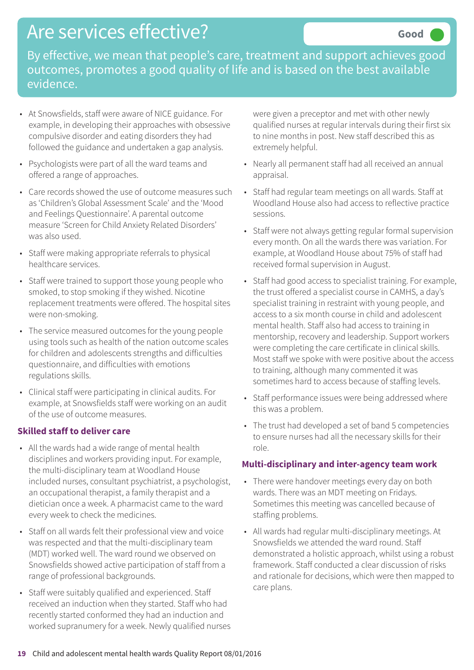# Are services effective?

By effective, we mean that people's care, treatment and support achieves good outcomes, promotes a good quality of life and is based on the best available evidence.

- At Snowsfields, staff were aware of NICE guidance. For example, in developing their approaches with obsessive compulsive disorder and eating disorders they had followed the guidance and undertaken a gap analysis.
- Psychologists were part of all the ward teams and offered a range of approaches.
- Care records showed the use of outcome measures such as 'Children's Global Assessment Scale' and the 'Mood and Feelings Questionnaire'. A parental outcome measure 'Screen for Child Anxiety Related Disorders' was also used.
- Staff were making appropriate referrals to physical healthcare services.
- Staff were trained to support those young people who smoked, to stop smoking if they wished. Nicotine replacement treatments were offered. The hospital sites were non-smoking.
- The service measured outcomes for the young people using tools such as health of the nation outcome scales for children and adolescents strengths and difficulties questionnaire, and difficulties with emotions regulations skills.
- Clinical staff were participating in clinical audits. For example, at Snowsfields staff were working on an audit of the use of outcome measures.

#### **Skilled staff to deliver care**

- All the wards had a wide range of mental health disciplines and workers providing input. For example, the multi-disciplinary team at Woodland House included nurses, consultant psychiatrist, a psychologist, an occupational therapist, a family therapist and a dietician once a week. A pharmacist came to the ward every week to check the medicines.
- Staff on all wards felt their professional view and voice was respected and that the multi-disciplinary team (MDT) worked well. The ward round we observed on Snowsfields showed active participation of staff from a range of professional backgrounds.
- Staff were suitably qualified and experienced. Staff received an induction when they started. Staff who had recently started conformed they had an induction and worked supranumery for a week. Newly qualified nurses

were given a preceptor and met with other newly qualified nurses at regular intervals during their first six to nine months in post. New staff described this as extremely helpful.

- Nearly all permanent staff had all received an annual appraisal.
- Staff had regular team meetings on all wards. Staff at Woodland House also had access to reflective practice sessions.
- Staff were not always getting regular formal supervision every month. On all the wards there was variation. For example, at Woodland House about 75% of staff had received formal supervision in August.
- Staff had good access to specialist training. For example, the trust offered a specialist course in CAMHS, a day's specialist training in restraint with young people, and access to a six month course in child and adolescent mental health. Staff also had access to training in mentorship, recovery and leadership. Support workers were completing the care certificate in clinical skills. Most staff we spoke with were positive about the access to training, although many commented it was sometimes hard to access because of staffing levels.
- Staff performance issues were being addressed where this was a problem.
- The trust had developed a set of band 5 competencies to ensure nurses had all the necessary skills for their role.

#### **Multi-disciplinary and inter-agency team work**

- There were handover meetings every day on both wards. There was an MDT meeting on Fridays. Sometimes this meeting was cancelled because of staffing problems.
- All wards had regular multi-disciplinary meetings. At Snowsfields we attended the ward round. Staff demonstrated a holistic approach, whilst using a robust framework. Staff conducted a clear discussion of risks and rationale for decisions, which were then mapped to care plans.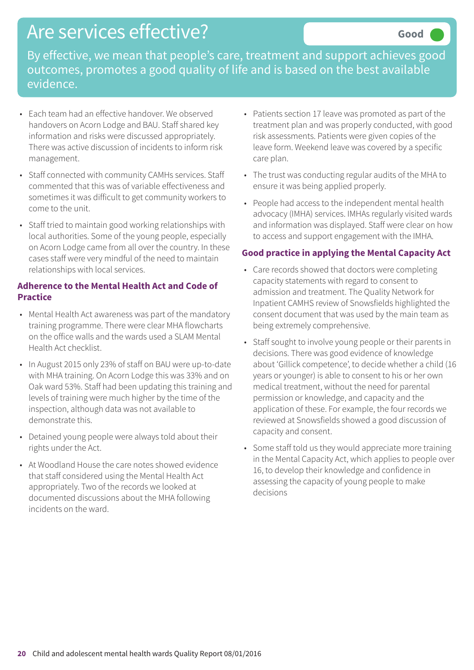# Are services effective?

By effective, we mean that people's care, treatment and support achieves good outcomes, promotes a good quality of life and is based on the best available evidence.

- Each team had an effective handover. We observed handovers on Acorn Lodge and BAU. Staff shared key information and risks were discussed appropriately. There was active discussion of incidents to inform risk management.
- Staff connected with community CAMHs services. Staff commented that this was of variable effectiveness and sometimes it was difficult to get community workers to come to the unit.
- Staff tried to maintain good working relationships with local authorities. Some of the young people, especially on Acorn Lodge came from all over the country. In these cases staff were very mindful of the need to maintain relationships with local services.

#### **Adherence to the Mental Health Act and Code of Practice**

- Mental Health Act awareness was part of the mandatory training programme. There were clear MHA flowcharts on the office walls and the wards used a SLAM Mental Health Act checklist.
- In August 2015 only 23% of staff on BAU were up-to-date with MHA training. On Acorn Lodge this was 33% and on Oak ward 53%. Staff had been updating this training and levels of training were much higher by the time of the inspection, although data was not available to demonstrate this.
- Detained young people were always told about their rights under the Act.
- At Woodland House the care notes showed evidence that staff considered using the Mental Health Act appropriately. Two of the records we looked at documented discussions about the MHA following incidents on the ward.
- Patients section 17 leave was promoted as part of the treatment plan and was properly conducted, with good risk assessments. Patients were given copies of the leave form. Weekend leave was covered by a specific care plan.
- The trust was conducting regular audits of the MHA to ensure it was being applied properly.
- People had access to the independent mental health advocacy (IMHA) services. IMHAs regularly visited wards and information was displayed. Staff were clear on how to access and support engagement with the IMHA.

#### **Good practice in applying the Mental Capacity Act**

- Care records showed that doctors were completing capacity statements with regard to consent to admission and treatment. The Quality Network for Inpatient CAMHS review of Snowsfields highlighted the consent document that was used by the main team as being extremely comprehensive.
- Staff sought to involve young people or their parents in decisions. There was good evidence of knowledge about 'Gillick competence', to decide whether a child (16 years or younger) is able to consent to his or her own medical treatment, without the need for parental permission or knowledge, and capacity and the application of these. For example, the four records we reviewed at Snowsfields showed a good discussion of capacity and consent.
- Some staff told us they would appreciate more training in the Mental Capacity Act, which applies to people over 16, to develop their knowledge and confidence in assessing the capacity of young people to make decisions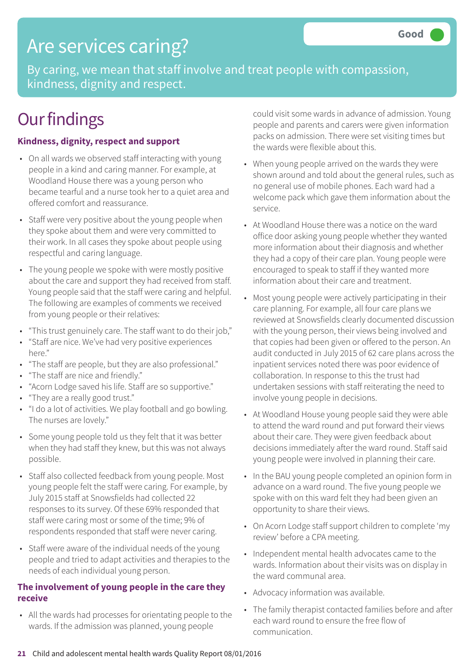# Are services caring?

By caring, we mean that staff involve and treat people with compassion, kindness, dignity and respect.

# **Our findings**

#### **Kindness, dignity, respect and support**

- On all wards we observed staff interacting with young people in a kind and caring manner. For example, at Woodland House there was a young person who became tearful and a nurse took her to a quiet area and offered comfort and reassurance.
- Staff were very positive about the young people when they spoke about them and were very committed to their work. In all cases they spoke about people using respectful and caring language.
- The young people we spoke with were mostly positive about the care and support they had received from staff. Young people said that the staff were caring and helpful. The following are examples of comments we received from young people or their relatives:
- "This trust genuinely care. The staff want to do their job,"
- "Staff are nice. We've had very positive experiences here."
- "The staff are people, but they are also professional."
- "The staff are nice and friendly."
- "Acorn Lodge saved his life. Staff are so supportive."
- "They are a really good trust."
- "I do a lot of activities. We play football and go bowling. The nurses are lovely."
- Some young people told us they felt that it was better when they had staff they knew, but this was not always possible.
- Staff also collected feedback from young people. Most young people felt the staff were caring. For example, by July 2015 staff at Snowsfields had collected 22 responses to its survey. Of these 69% responded that staff were caring most or some of the time; 9% of respondents responded that staff were never caring.
- Staff were aware of the individual needs of the young people and tried to adapt activities and therapies to the needs of each individual young person.

#### **The involvement of young people in the care they receive**

• All the wards had processes for orientating people to the wards. If the admission was planned, young people

could visit some wards in advance of admission. Young people and parents and carers were given information packs on admission. There were set visiting times but the wards were flexible about this.

- When young people arrived on the wards they were shown around and told about the general rules, such as no general use of mobile phones. Each ward had a welcome pack which gave them information about the service.
- At Woodland House there was a notice on the ward office door asking young people whether they wanted more information about their diagnosis and whether they had a copy of their care plan. Young people were encouraged to speak to staff if they wanted more information about their care and treatment.
- Most young people were actively participating in their care planning. For example, all four care plans we reviewed at Snowsfields clearly documented discussion with the young person, their views being involved and that copies had been given or offered to the person. An audit conducted in July 2015 of 62 care plans across the inpatient services noted there was poor evidence of collaboration. In response to this the trust had undertaken sessions with staff reiterating the need to involve young people in decisions.
- At Woodland House young people said they were able to attend the ward round and put forward their views about their care. They were given feedback about decisions immediately after the ward round. Staff said young people were involved in planning their care.
- In the BAU young people completed an opinion form in advance on a ward round. The five young people we spoke with on this ward felt they had been given an opportunity to share their views.
- On Acorn Lodge staff support children to complete 'my review' before a CPA meeting.
- Independent mental health advocates came to the wards. Information about their visits was on display in the ward communal area.
- Advocacy information was available.
- The family therapist contacted families before and after each ward round to ensure the free flow of communication.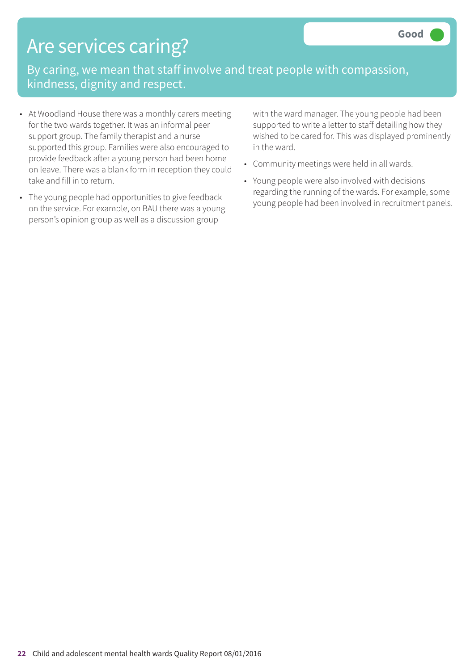# Are services caring?

By caring, we mean that staff involve and treat people with compassion, kindness, dignity and respect.

- At Woodland House there was a monthly carers meeting for the two wards together. It was an informal peer support group. The family therapist and a nurse supported this group. Families were also encouraged to provide feedback after a young person had been home on leave. There was a blank form in reception they could take and fill in to return.
- The young people had opportunities to give feedback on the service. For example, on BAU there was a young person's opinion group as well as a discussion group

with the ward manager. The young people had been supported to write a letter to staff detailing how they wished to be cared for. This was displayed prominently in the ward.

- Community meetings were held in all wards.
- Young people were also involved with decisions regarding the running of the wards. For example, some young people had been involved in recruitment panels.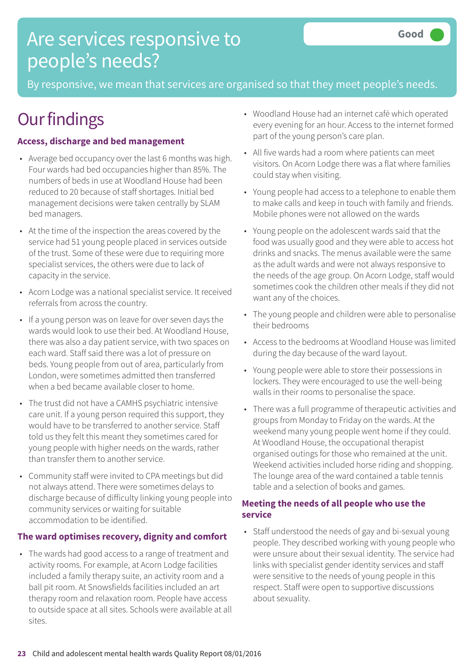# Are services responsive to people's needs?

By responsive, we mean that services are organised so that they meet people's needs.

# **Our findings**

### **Access, discharge and bed management**

- Average bed occupancy over the last 6 months was high. Four wards had bed occupancies higher than 85%. The numbers of beds in use at Woodland House had been reduced to 20 because of staff shortages. Initial bed management decisions were taken centrally by SLAM bed managers.
- At the time of the inspection the areas covered by the service had 51 young people placed in services outside of the trust. Some of these were due to requiring more specialist services, the others were due to lack of capacity in the service.
- Acorn Lodge was a national specialist service. It received referrals from across the country.
- If a young person was on leave for over seven days the wards would look to use their bed. At Woodland House, there was also a day patient service, with two spaces on each ward. Staff said there was a lot of pressure on beds. Young people from out of area, particularly from London, were sometimes admitted then transferred when a bed became available closer to home.
- The trust did not have a CAMHS psychiatric intensive care unit. If a young person required this support, they would have to be transferred to another service. Staff told us they felt this meant they sometimes cared for young people with higher needs on the wards, rather than transfer them to another service.
- Community staff were invited to CPA meetings but did not always attend. There were sometimes delays to discharge because of difficulty linking young people into community services or waiting for suitable accommodation to be identified.

### **The ward optimises recovery, dignity and comfort**

• The wards had good access to a range of treatment and activity rooms. For example, at Acorn Lodge facilities included a family therapy suite, an activity room and a ball pit room. At Snowsfields facilities included an art therapy room and relaxation room. People have access to outside space at all sites. Schools were available at all sites.

- Woodland House had an internet café which operated every evening for an hour. Access to the internet formed part of the young person's care plan.
- All five wards had a room where patients can meet visitors. On Acorn Lodge there was a flat where families could stay when visiting.
- Young people had access to a telephone to enable them to make calls and keep in touch with family and friends. Mobile phones were not allowed on the wards
- Young people on the adolescent wards said that the food was usually good and they were able to access hot drinks and snacks. The menus available were the same as the adult wards and were not always responsive to the needs of the age group. On Acorn Lodge, staff would sometimes cook the children other meals if they did not want any of the choices.
- The young people and children were able to personalise their bedrooms
- Access to the bedrooms at Woodland House was limited during the day because of the ward layout.
- Young people were able to store their possessions in lockers. They were encouraged to use the well-being walls in their rooms to personalise the space.
- There was a full programme of therapeutic activities and groups from Monday to Friday on the wards. At the weekend many young people went home if they could. At Woodland House, the occupational therapist organised outings for those who remained at the unit. Weekend activities included horse riding and shopping. The lounge area of the ward contained a table tennis table and a selection of books and games.

### **Meeting the needs of all people who use the service**

• Staff understood the needs of gay and bi-sexual young people. They described working with young people who were unsure about their sexual identity. The service had links with specialist gender identity services and staff were sensitive to the needs of young people in this respect. Staff were open to supportive discussions about sexuality.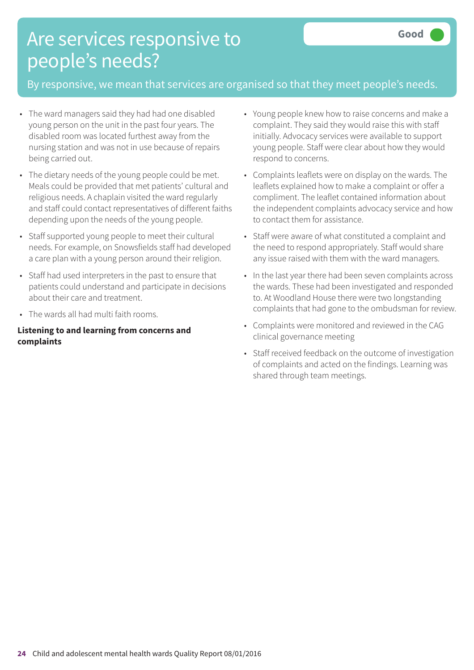# Are services responsive to people's needs?

### By responsive, we mean that services are organised so that they meet people's needs.

- The ward managers said they had had one disabled young person on the unit in the past four years. The disabled room was located furthest away from the nursing station and was not in use because of repairs being carried out.
- The dietary needs of the young people could be met. Meals could be provided that met patients' cultural and religious needs. A chaplain visited the ward regularly and staff could contact representatives of different faiths depending upon the needs of the young people.
- Staff supported young people to meet their cultural needs. For example, on Snowsfields staff had developed a care plan with a young person around their religion.
- Staff had used interpreters in the past to ensure that patients could understand and participate in decisions about their care and treatment.
- The wards all had multi faith rooms.

#### **Listening to and learning from concerns and complaints**

- Young people knew how to raise concerns and make a complaint. They said they would raise this with staff initially. Advocacy services were available to support young people. Staff were clear about how they would respond to concerns.
- Complaints leaflets were on display on the wards. The leaflets explained how to make a complaint or offer a compliment. The leaflet contained information about the independent complaints advocacy service and how to contact them for assistance.
- Staff were aware of what constituted a complaint and the need to respond appropriately. Staff would share any issue raised with them with the ward managers.
- In the last year there had been seven complaints across the wards. These had been investigated and responded to. At Woodland House there were two longstanding complaints that had gone to the ombudsman for review.
- Complaints were monitored and reviewed in the CAG clinical governance meeting
- Staff received feedback on the outcome of investigation of complaints and acted on the findings. Learning was shared through team meetings.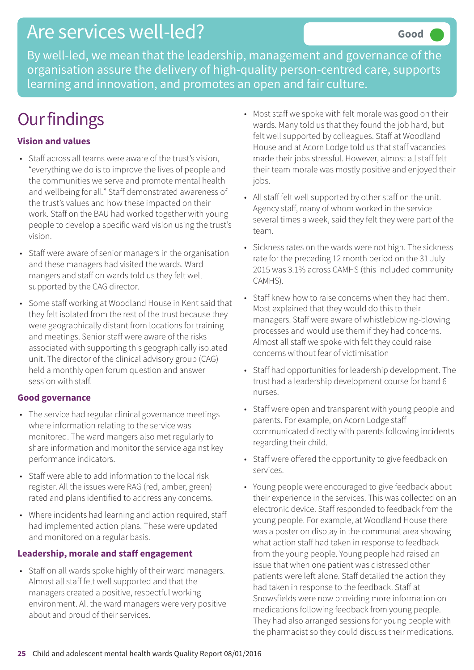## Are services well-led?

By well-led, we mean that the leadership, management and governance of the organisation assure the delivery of high-quality person-centred care, supports learning and innovation, and promotes an open and fair culture.

# **Our findings**

### **Vision and values**

- Staff across all teams were aware of the trust's vision, "everything we do is to improve the lives of people and the communities we serve and promote mental health and wellbeing for all." Staff demonstrated awareness of the trust's values and how these impacted on their work. Staff on the BAU had worked together with young people to develop a specific ward vision using the trust's vision.
- Staff were aware of senior managers in the organisation and these managers had visited the wards. Ward mangers and staff on wards told us they felt well supported by the CAG director.
- Some staff working at Woodland House in Kent said that they felt isolated from the rest of the trust because they were geographically distant from locations for training and meetings. Senior staff were aware of the risks associated with supporting this geographically isolated unit. The director of the clinical advisory group (CAG) held a monthly open forum question and answer session with staff.

### **Good governance**

- The service had regular clinical governance meetings where information relating to the service was monitored. The ward mangers also met regularly to share information and monitor the service against key performance indicators.
- Staff were able to add information to the local risk register. All the issues were RAG (red, amber, green) rated and plans identified to address any concerns.
- Where incidents had learning and action required, staff had implemented action plans. These were updated and monitored on a regular basis.

### **Leadership, morale and staff engagement**

• Staff on all wards spoke highly of their ward managers. Almost all staff felt well supported and that the managers created a positive, respectful working environment. All the ward managers were very positive about and proud of their services.

- Most staff we spoke with felt morale was good on their wards. Many told us that they found the job hard, but felt well supported by colleagues. Staff at Woodland House and at Acorn Lodge told us that staff vacancies made their jobs stressful. However, almost all staff felt their team morale was mostly positive and enjoyed their jobs.
- All staff felt well supported by other staff on the unit. Agency staff, many of whom worked in the service several times a week, said they felt they were part of the team.
- Sickness rates on the wards were not high. The sickness rate for the preceding 12 month period on the 31 July 2015 was 3.1% across CAMHS (this included community CAMHS).
- Staff knew how to raise concerns when they had them. Most explained that they would do this to their managers. Staff were aware of whistleblowing-blowing processes and would use them if they had concerns. Almost all staff we spoke with felt they could raise concerns without fear of victimisation
- Staff had opportunities for leadership development. The trust had a leadership development course for band 6 nurses.
- Staff were open and transparent with young people and parents. For example, on Acorn Lodge staff communicated directly with parents following incidents regarding their child.
- Staff were offered the opportunity to give feedback on services.
- Young people were encouraged to give feedback about their experience in the services. This was collected on an electronic device. Staff responded to feedback from the young people. For example, at Woodland House there was a poster on display in the communal area showing what action staff had taken in response to feedback from the young people. Young people had raised an issue that when one patient was distressed other patients were left alone. Staff detailed the action they had taken in response to the feedback. Staff at Snowsfields were now providing more information on medications following feedback from young people. They had also arranged sessions for young people with the pharmacist so they could discuss their medications.